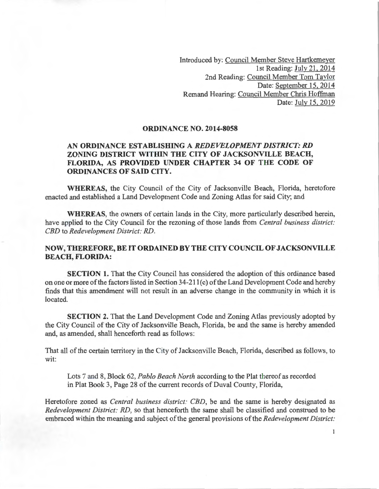Introduced by: Council Member Steve Hartkemeyer 1st Reading: July 21, 2014 2nd Reading: Council Member Tom Taylor Date: September 15, 2014 Remand Hearing: Council Member Chris Hoffman Date: July 15, 2019

## **ORDINANCE NO. 2014-8058**

## **AN ORDINANCE ESTABLISHING A** *REDEVELOPMENT DISTRICT: RD*  **ZONING DISTRICT WITHIN THE CITY OF JACKSONVILLE BEACH, FLORIDA, AS PROVIDED UNDER CHAPTER 34 OF THE CODE OF ORDINANCES OF SAID CITY.**

**WHEREAS,** the City Council of the City of Jacksonville Beach, Florida, heretofore enacted and established a Land Development Code and Zoning Atlas for said City; and

**WHEREAS,** the owners of certain lands in the City, more particularly described herein, have applied to the City Council for the rezoning of those lands from *Central business district: CED* to *Redevelopment District: RD.* 

## **NOW, THEREFORE, BE IT ORDAINED BY THE CITY COUNCIL OF JACKSONVILLE BEACH, FLORIDA:**

**SECTION 1.** That the City Council has considered the adoption of this ordinance based on one or more of the factors listed in Section 34-211(c) of the Land Development Code and hereby finds that this amendment will not result in an adverse change in the community in which it is located.

**SECTION 2.** That the Land Development Code and Zoning Atlas previously adopted by the City Council of the City of Jacksonville Beach, Florida, be and the same is hereby amended and, as amended, shall henceforth read as follows:

That all of the certain territory in the City of Jacksonville Beach, Florida, described as follows, to wit:

Lots 7 and 8, Block 62, *Pablo Beach North* according to the Plat thereof as recorded in Plat Book 3, Page 28 of the current records of Duval County, Florida,

Heretofore zoned as *Central business district: CED,* be and the same is hereby designated as *Redevelopment District: RD,* so that henceforth the same shall be classified and construed to be embraced within the meaning and subject of the general provisions of the *Redevelopment District:* 

 $\mathbf{1}$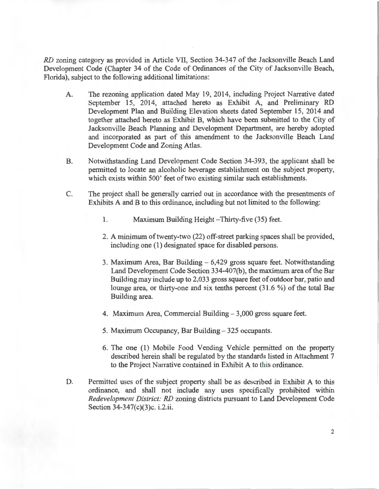*RD* zoning category as provided in Article VII, Section 34-347 of the Jacksonville Beach Land Development Code (Chapter 34 of the Code of Ordinances of the City of Jacksonville Beach, Florida), subject to the following additional limitations:

- A. The rezoning application dated May 19, 2014, including Project Narrative dated September 15, 2014, attached hereto as Exhibit A, and Preliminary RD Development Plan and Building Elevation sheets dated September 15, 2014 and together attached hereto as Exhibit B, which have been submitted to the City of Jacksonville Beach Planning and Development Department, are hereby adopted and incorporated as part of this amendment to the Jacksonville Beach Land Development Code and Zoning Atlas.
- B. Notwithstanding Land Development Code Section 34-393, the applicant shall be permitted to locate an alcoholic beverage establishment on the subject property, which exists within 500' feet of two existing similar such establishments.
- C. The project shall be generally carried out in accordance with the presentments of Exhibits A and B to this ordinance, including but not limited to the following:
	- 1. Maximum Building Height Thirty-five (35) feet.
	- 2. A minimum of twenty-two (22) off-street parking spaces shall be provided, including one (1) designated space for disabled persons.
	- 3. Maximum Area, Bar Building  $-6,429$  gross square feet. Notwithstanding Land Development Code Section 334-407(b), the maximum area of the Bar Building may include up to 2,033 gross square feet of outdoor bar, patio and lounge area, or thirty-one and six tenths percent (31.6 %) of the total Bar Building area.
	- 4. Maximum Area, Commercial Building 3,000 gross square feet.
	- 5. Maximum Occupancy, Bar Building- 325 occupants.
	- 6. The one (1) Mobile Food Vending Vehicle permitted on the property described herein shall be regulated by the standards listed in Attachment 7 to the Project Narrative contained in Exhibit A to this ordinance.
- D. Permitted uses of the subject property shall be as described in Exhibit A to this ordinance, and shall not include any uses specifically prohibited within *Redevelopment District: RD* zoning districts pursuant to Land Development Code Section 34-347(c)(3)c. *i.2.ii.*